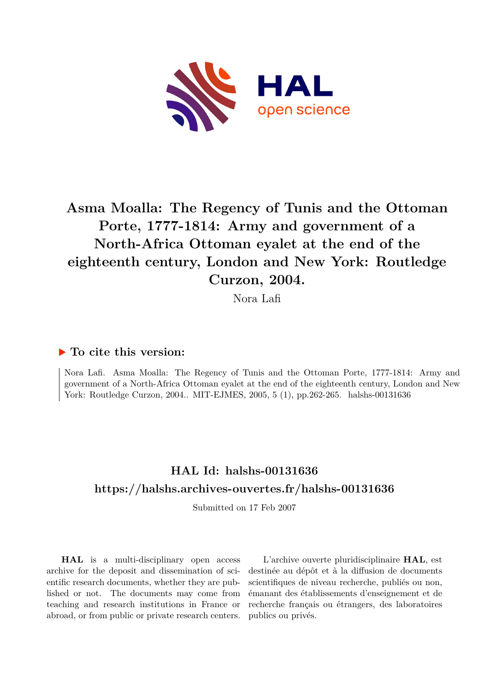

## **Asma Moalla: The Regency of Tunis and the Ottoman Porte, 1777-1814: Army and government of a North-Africa Ottoman eyalet at the end of the eighteenth century, London and New York: Routledge Curzon, 2004.**

Nora Lafi

## **To cite this version:**

Nora Lafi. Asma Moalla: The Regency of Tunis and the Ottoman Porte, 1777-1814: Army and government of a North-Africa Ottoman eyalet at the end of the eighteenth century, London and New York: Routledge Curzon, 2004.. MIT-EJMES, 2005, 5 (1), pp.262-265. halshs-00131636

## **HAL Id: halshs-00131636 <https://halshs.archives-ouvertes.fr/halshs-00131636>**

Submitted on 17 Feb 2007

**HAL** is a multi-disciplinary open access archive for the deposit and dissemination of scientific research documents, whether they are published or not. The documents may come from teaching and research institutions in France or abroad, or from public or private research centers.

L'archive ouverte pluridisciplinaire **HAL**, est destinée au dépôt et à la diffusion de documents scientifiques de niveau recherche, publiés ou non, émanant des établissements d'enseignement et de recherche français ou étrangers, des laboratoires publics ou privés.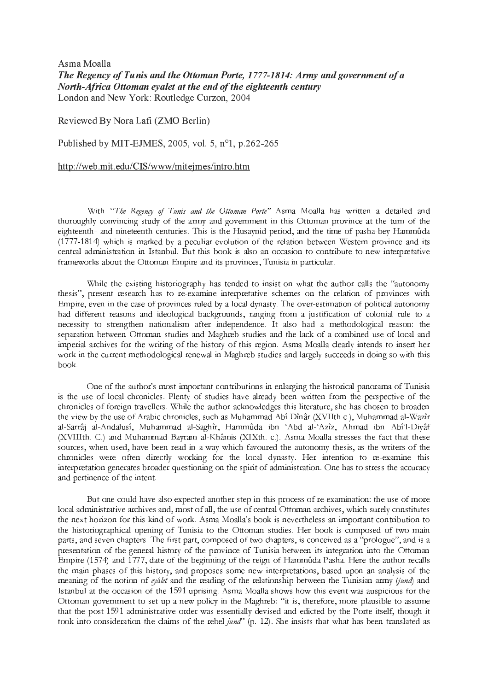Asma Moalla The Regency of Tunis and the Ottoman Porte, 1777-1814: Army and government of a North-Africa Ottoman evalet at the end of the eighteenth century London and New York: Routledge Curzon, 2004

Reviewed By Nora Lafi (ZMO Berlin)

Published by MIT-EJMES, 2005, vol. 5,  $n^{\circ}1$ , p.262-265

http://web.mit.edu/CIS/www/mitejmes/intro.htm

With "The Regency of Tunis and the Ottoman Porte" Asma Moalla has written a detailed and thoroughly convincing study of the army and government in this Ottoman province at the turn of the eighteenth- and nineteenth centuries. This is the Husaynid period, and the time of pasha-bey Hammûda (1777-1814) which is marked by a peculiar evolution of the relation between Western province and its central administration in Istanbul. But this book is also an occasion to contribute to new interpretative frameworks about the Ottoman Empire and its provinces, Tunisia in particular.

While the existing historiography has tended to insist on what the author calls the "autonomy" thesis", present research has to re-examine interpretative schemes on the relation of provinces with Empire, even in the case of provinces ruled by a local dynasty. The over-estimation of political autonomy had different reasons and ideological backgrounds, ranging from a justification of colonial rule to a necessity to strengthen nationalism after independence. It also had a methodological reason: the separation between Ottoman studies and Maghreb studies and the lack of a combined use of local and imperial archives for the writing of the history of this region. Asma Moalla clearly intends to insert her work in the current methodological renewal in Maghreb studies and largely succeeds in doing so with this book.

One of the author's most important contributions in enlarging the historical panorama of Tunisia is the use of local chronicles. Plenty of studies have already been written from the perspective of the chronicles of foreign travellers. While the author acknowledges this literature, she has chosen to broaden the view by the use of Arabic chronicles, such as Muhammad Abî Dînâr (XVIIth c.), Muhammad al-Wazîr al-Sarrâj al-Andalusî, Muhammad al-Saghîr, Hammûda ibn 'Abd al-'Azîz, Ahmad ibn Abî'l-Diyâf (XVIIIth, C.) and Muhammad Bayram al-Khâmis (XIXth, c.). Asma Moalla stresses the fact that these sources, when used, have been read in a way which favoured the autonomy thesis, as the writers of the chronicles were often directly working for the local dynasty. Her intention to re-examine this interpretation generates broader questioning on the spirit of administration. One has to stress the accuracy and pertinence of the intent.

But one could have also expected another step in this process of re-examination; the use of more local administrative archives and, most of all, the use of central Ottoman archives, which surely constitutes the next horizon for this kind of work. Asma Moalla's book is nevertheless an important contribution to the historiographical opening of Tunisia to the Ottoman studies. Her book is composed of two main parts, and seven chapters. The first part, composed of two chapters, is conceived as a "prologue", and is a presentation of the general history of the province of Tunisia between its integration into the Ottoman Empire (1574) and 1777, date of the beginning of the reign of Hammûda Pasha. Here the author recalls the main phases of this history, and proposes some new interpretations, based upon an analysis of the meaning of the notion of *evalet* and the reading of the relationship between the Tunisian army (jund) and Istanbul at the occasion of the 1591 uprising. Asma Moalla shows how this event was auspicious for the Ottoman government to set up a new policy in the Maghreb: "it is, therefore, more plausible to assume that the post-1591 administrative order was essentially devised and edicted by the Porte itself, though it took into consideration the claims of the rebel *jund*" (p. 12). She insists that what has been translated as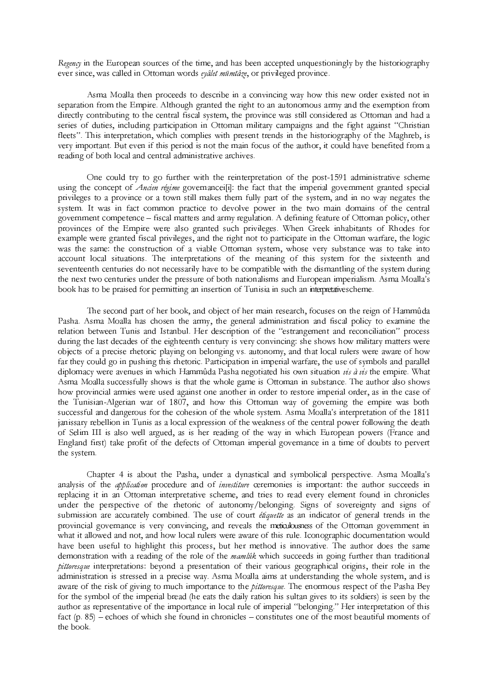$Re\ell$ ergency in the European sources of the time, and has been accepted unquestioningly by the historiography ever since, was called in Ottoman words evalet mümtage, or privileged province.

Asma Moalla then proceeds to describe in a convincing way how this new order existed not in separation from the Empire. Although granted the right to an autonomous army and the exemption from directly contributing to the central fiscal system, the province was still considered as Ottoman and had a series of duties, including participation in Ottoman military campaigns and the fight against "Christian fleets". This interpretation, which complies with present trends in the historiography of the Maghreb, is very important. But even if this period is not the main focus of the author, it could have benefited from a reading of both local and central administrative archives.

One could try to go further with the reinterpretation of the post-1591 administrative scheme using the concept of *Ancien régime* governanceifil: the fact that the imperial government granted special privileges to a province or a town still makes them fully part of the system, and in no way negates the system. It was in fact common practice to devolve power in the two main domains of the central government competence - fiscal matters and army regulation. A defining feature of Ottoman policy, other provinces of the Empire were also granted such privileges. When Greek inhabitants of Rhodes for example were granted fiscal privileges, and the right not to participate in the Ottoman warfare, the logic was the same; the construction of a viable Ottoman system, whose very substance was to take into account local situations. The interpretations of the meaning of this system for the sixteenth and seventeenth centuries do not necessarily have to be compatible with the dismantling of the system during the next two centuries under the pressure of both nationalisms and European imperialism. Asma Moalla's book has to be praised for permitting an insertion of Tunisia in such an interpretative scheme.

The second part of her book, and object of her main research, focuses on the reign of Hammûda Pasha. Asma Moalla has chosen the army, the general administration and fiscal policy to examine the relation between Tunis and Istanbul. Her description of the "estrangement and reconciliation" process during the last decades of the eighteenth century is very convincing: she shows how military matters were objects of a precise rhetoric playing on belonging vs. autonomy, and that local rulers were aware of how far they could go in pushing this rhetoric. Participation in imperial warfare, the use of symbols and parallel diplomacy were avenues in which Hammûda Pasha negotiated his own situation vis à vis the empire. What Asma Moalla successfully shows is that the whole game is Ottoman in substance. The author also shows how provincial armies were used against one another in order to restore imperial order, as in the case of the Tunisian-Algerian war of 1807, and how this Ottoman way of governing the empire was both successful and dangerous for the cohesion of the whole system. Asma Moalla's interpretation of the 1811 janissary rebellion in Tunis as a local expression of the weakness of the central power following the death of Selim III is also well argued, as is her reading of the way in which European powers (France and England first) take profit of the defects of Ottoman imperial governance in a time of doubts to pervert the system.

Chapter 4 is about the Pasha, under a dynastical and symbolical perspective. Asma Moalla's analysis of the *application* procedure and of *investiture* ceremonies is important: the author succeeds in replacing it in an Ottoman interpretative scheme, and tries to read every element found in chronicles under the perspective of the rhetoric of autonomy/belonging. Signs of sovereignty and signs of submission are accurately combined. The use of court *etiquette* as an indicator of general trends in the provincial governance is very convincing, and reveals the meticulousness of the Ottoman government in what it allowed and not, and how local rulers were aware of this rule. Iconographic documentation would have been useful to highlight this process, but her method is innovative. The author does the same demonstration with a reading of the role of the *mamlik* which succeeds in going further than traditional pittoresque interpretations: beyond a presentation of their various geographical origins, their role in the administration is stressed in a precise way. Asma Moalla aims at understanding the whole system, and is aware of the risk of giving to much importance to the *pittoresque*. The enormous respect of the Pasha Bey for the symbol of the imperial bread (he eats the daily ration his sultan gives to its soldiers) is seen by the author as representative of the importance in local rule of imperial "belonging." Her interpretation of this fact  $(p. 85)$  – echoes of which she found in chronicles – constitutes one of the most beautiful moments of the book.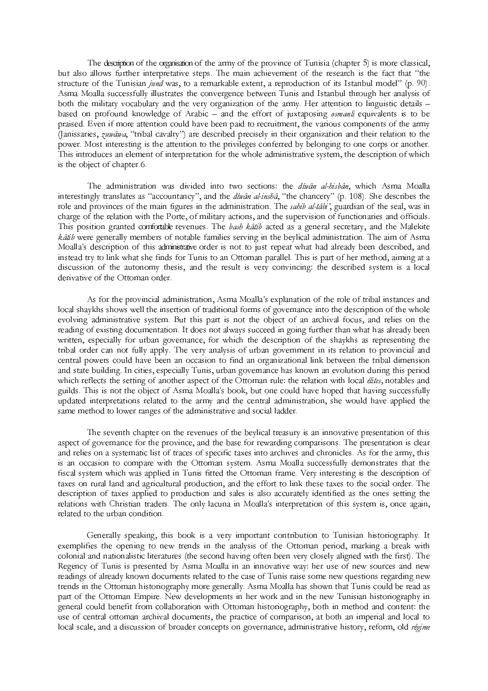The description of the organisation of the army of the province of Tunisia (chapter 5) is more classical, but also allows further interpretative steps. The main achievement of the research is the fact that "the structure of the Tunisian  $\mu$ nd was, to a remarkable extent, a reproduction of its Istanbul model" (p. 90). Asma Moalla successfully illustrates the convergence between Tunis and Istanbul through her analysis of both the military vocabulary and the very organization of the army. Her attention to linguistic details based on profound knowledge of Arabic – and the effort of juxtaposing *osmanli* equivalents is to be praised. Even if more attention could have been paid to recruitment, the various components of the army (Janissaries, zuwâwa, "tribal cavalry") are described precisely in their organization and their relation to the power. Most interesting is the attention to the privileges conferred by belonging to one corps or another. This introduces an element of interpretation for the whole administrative system, the description of which is the object of chapter 6.

The administration was divided into two sections: the *divan al-bisban*, which Asma Moalla interestingly translates as "accountancy", and the *diwân al-inshâ*, "the chancery" (p. 108). She describes the role and provinces of the main figures in the administration. The *sabib al tâbi*', guardian of the seal, was in charge of the relation with the Porte, of military actions, and the supervision of functionaries and officials. This position granted comfortable revenues. The bash kâtib acted as a general secretary, and the Malekite kâtib were generally members of notable families serving in the beylical administration. The aim of Asma Moalla's description of this administrative order is not to just repeat what had already been described, and instead try to link what she finds for Tunis to an Ottoman parallel. This is part of her method, aiming at a discussion of the autonomy thesis, and the result is very convincing: the described system is a local derivative of the Ottoman order.

As for the provincial administration, Asma Moalla's explanation of the role of tribal instances and local shaykhs shows well the insertion of traditional forms of governance into the description of the whole evolving administrative system. But this part is not the object of an archival focus, and relies on the reading of existing documentation. It does not always succeed in going further than what has already been written, especially for urban governance, for which the description of the shaykhs as representing the tribal order can not fully apply. The very analysis of urban government in its relation to provincial and central powers could have been an occasion to find an organizational link between the tribal dimension and state building. In cities, especially Tunis, urban governance has known an evolution during this period which reflects the setting of another aspect of the Ottoman rule: the relation with local élites, notables and guilds. This is not the object of Asma Moalla's book, but one could have hoped that having successfully updated interpretations related to the army and the central administration, she would have applied the same method to lower ranges of the administrative and social ladder.

The seventh chapter on the revenues of the beylical treasury is an innovative presentation of this aspect of governance for the province, and the base for rewarding comparisons. The presentation is clear and relies on a systematic list of traces of specific taxes into archives and chronicles. As for the army, this is an occasion to compare with the Ottoman system. Asma Moalla successfully demonstrates that the fiscal system which was applied in Tunis fitted the Ottoman frame. Very interesting is the description of taxes on rural land and agricultural production, and the effort to link these taxes to the social order. The description of taxes applied to production and sales is also accurately identified as the ones setting the relations with Christian traders. The only lacuna in Moalla's interpretation of this system is, once again, related to the urban condition.

Generally speaking, this book is a very important contribution to Tunisian historiography. It exemplifies the opening to new trends in the analysis of the Ottoman period, marking a break with colonial and nationalistic literatures (the second having often been very closely aligned with the first). The Regency of Tunis is presented by Asma Moalla in an innovative way: her use of new sources and new readings of already known documents related to the case of Tunis raise some new questions regarding new trends in the Ottoman historiography more generally. Asma Moalla has shown that Tunis could be read as part of the Ottoman Empire. New developments in her work and in the new Tunisian historiography in general could benefit from collaboration with Ottoman historiography, both in method and content: the use of central ottoman archival documents, the practice of comparison, at both an imperial and local to local scale, and a discussion of broader concepts on governance, administrative history, reform, old régime